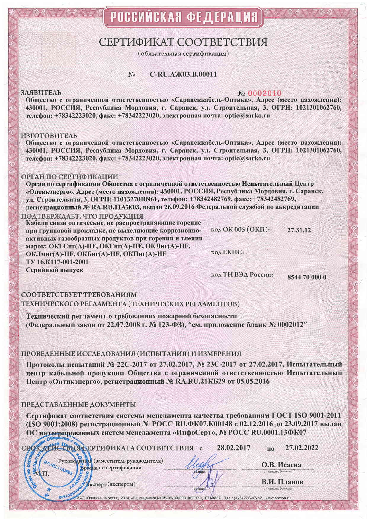# СЕРТИФИКАТ СООТВЕТСТВИЯ

(обязательная сертификация)

#### C-RU.A  $X03$ , B, 00011 No

#### **ЗАЯВИТЕЛЬ**

### No 0002010

Общество с ограниченной ответственностью «Сарансккабель-Оптика», Адрес (место нахождения): 430001, РОССИЯ, Республика Мордовия, г. Саранск, ул. Строительная, 3, ОГРН: 1021301062760, телефон: +78342223020, факс: +78342223020, электронная почта: optic@sarko.ru

#### ИЗГОТОВИТЕЛЬ

Общество с ограниченной ответственностью «Сарансккабель-Оптика», Адрес (место нахождения): 430001. РОССИЯ. Республика Мордовия, г. Саранск, ул. Строительная, 3, ОГРН: 1021301062760, телефон: +78342223020, факс: +78342223020, электронная почта: optic@sarko.ru

#### ОРГАН ПО СЕРТИФИКАЦИИ

Орган по сертификации Общества с ограниченной ответственностью Испытательный Центр «Оптикэнерго». Адрес (место нахождения): 430001, РОССИЯ, Республика Мордовия, г. Саранск, ул. Строительная, 3, ОГРН: 1101327000961, телефон: +78342482769, факс: +78342482769, регистрационный № RA.RU.11AЖ03, выдан 26.09.2016 Федеральной службой по аккредитации ПОАТВЕРЖААЕТ, ЧТО ПРОАУКЦИЯ

Кабели связи оптические, не распространяющие горение  $K$ OA OK 005 (OK $\Pi$ ): 27.31.12 при групповой прокладке, не выделяющие коррозионноактивных газообразных продуктов при горении и тлении марок: ОКГСнг(A)-НF, ОКГнг(A)-НF, ОКЛнг(A)-НF, код ЕКПС: ОКЛмнг(А)-НҒ, ОКБнг(А)-НҒ, ОКПнг(А)-НҒ TV 16.K117-001-2001 Серийный выпуск код ТН ВЭД России:

8544 70 000 0

СООТВЕТСТВУЕТ ТРЕБОВАНИЯМ ТЕХНИЧЕСКОГО РЕГЛАМЕНТА (ТЕХНИЧЕСКИХ РЕГЛАМЕНТОВ)

Технический регламент о требованиях пожарной безопасности (Федеральный закон от 22.07.2008 г. № 123-ФЗ), "см. приложение бланк № 0002012"

## ПРОВЕДЕННЫЕ ИССЛЕДОВАНИЯ (ИСПЫТАНИЯ) И ИЗМЕРЕНИЯ

Протоколы испытаний № 22С-2017 от 27.02.2017, № 23С-2017 от 27.02.2017, Испытательный центр кабельной продукции Общества с ограниченной ответственностью Испытательный Пентр «Оптикэнерго», регистрационный № RA,RU.21КБ29 от 05.05.2016

#### ПРЕДСТАВЛЕННЫЕ ДОКУМЕНТЫ

RA.RU.TTAX03

LOS

OldToom

Сертификат соответствия системы менеджмента качества требованиям ГОСТ ISO 9001-2011 (ISO 9001:2008) регистрационный № РОСС RU.ФК07.К00148 с 02.12.2016 до 23.09.2017 выдан ОС интегрированных систем менеджмента «ИнфоСерт», № РОСС RU.0001.13ФК07

ЗАО «Опцион», Москва, 2014, «В», лицензия № 05-05-09/003 ФНС РФ, ТЗ №887. Тел.: (495) 726-47-42, www.opclon.ru

СРОКАЕЙСТВИЯ СЕРТИФИКАТА СООТВЕТСТВИЯ с

28.02.2017

27.02.2022

O.B. Исаева инициалы, фамилия

 $\overline{110}$ 

В.И. Планов .<br>инициалы, фамилия

У Жеперт (эксперты)

Руковомитель (заместитель руководителя)<br>1774 ж.